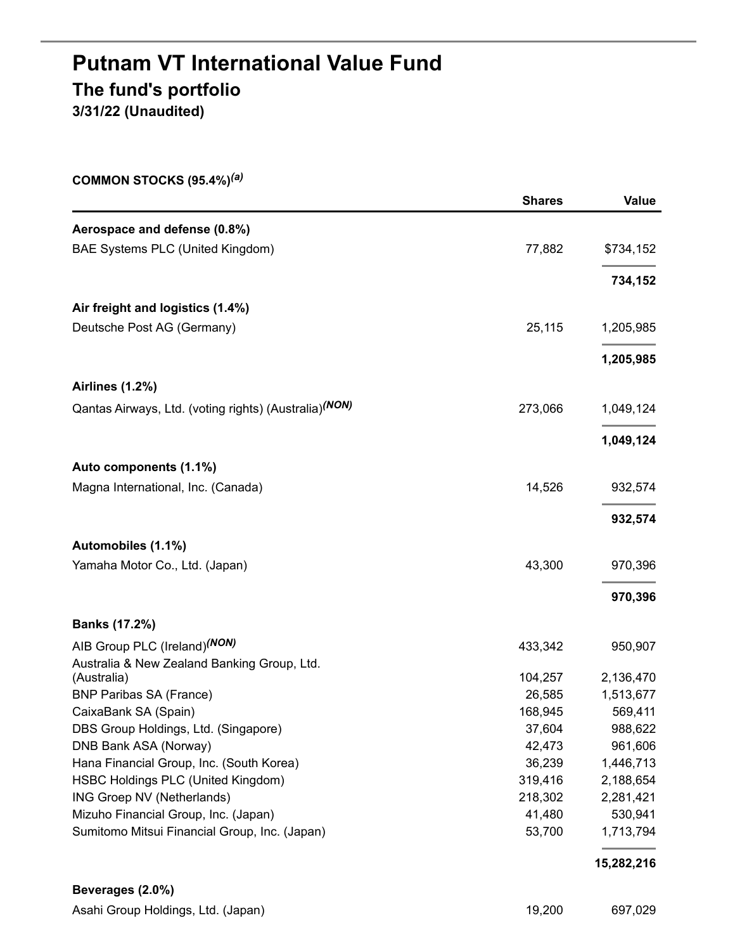# **Putnam VT International Value Fund The fund's portfolio 3/31/22 (Unaudited)**

| COMMON STOCKS (95.4%) <sup>(a)</sup>                              |                   |                    |
|-------------------------------------------------------------------|-------------------|--------------------|
|                                                                   | <b>Shares</b>     | Value              |
| Aerospace and defense (0.8%)                                      |                   |                    |
| BAE Systems PLC (United Kingdom)                                  | 77,882            | \$734,152          |
|                                                                   |                   | 734,152            |
| Air freight and logistics (1.4%)                                  |                   |                    |
| Deutsche Post AG (Germany)                                        | 25,115            | 1,205,985          |
|                                                                   |                   | 1,205,985          |
| <b>Airlines (1.2%)</b>                                            |                   |                    |
| Qantas Airways, Ltd. (voting rights) (Australia) <sup>(NON)</sup> | 273,066           | 1,049,124          |
|                                                                   |                   | 1,049,124          |
| Auto components (1.1%)                                            |                   |                    |
| Magna International, Inc. (Canada)                                | 14,526            | 932,574            |
|                                                                   |                   | 932,574            |
| Automobiles (1.1%)                                                |                   |                    |
| Yamaha Motor Co., Ltd. (Japan)                                    | 43,300            | 970,396            |
|                                                                   |                   | 970,396            |
| <b>Banks (17.2%)</b>                                              |                   |                    |
| AIB Group PLC (Ireland) <sup>(NON)</sup>                          | 433,342           | 950,907            |
| Australia & New Zealand Banking Group, Ltd.                       |                   |                    |
| (Australia)                                                       | 104,257           | 2,136,470          |
| <b>BNP Paribas SA (France)</b>                                    | 26,585            | 1,513,677          |
| CaixaBank SA (Spain)<br>DBS Group Holdings, Ltd. (Singapore)      | 168,945<br>37,604 | 569,411            |
| DNB Bank ASA (Norway)                                             | 42,473            | 988,622<br>961,606 |
| Hana Financial Group, Inc. (South Korea)                          | 36,239            | 1,446,713          |
| HSBC Holdings PLC (United Kingdom)                                | 319,416           | 2,188,654          |
| ING Groep NV (Netherlands)                                        | 218,302           | 2,281,421          |
| Mizuho Financial Group, Inc. (Japan)                              | 41,480            | 530,941            |
| Sumitomo Mitsui Financial Group, Inc. (Japan)                     | 53,700            | 1,713,794          |
|                                                                   |                   | 15,282,216         |
| Beverages (2.0%)                                                  |                   |                    |

| Asahi Group Holdings, Ltd. (Japan) | 19,200 | 697,029 |
|------------------------------------|--------|---------|
|                                    |        |         |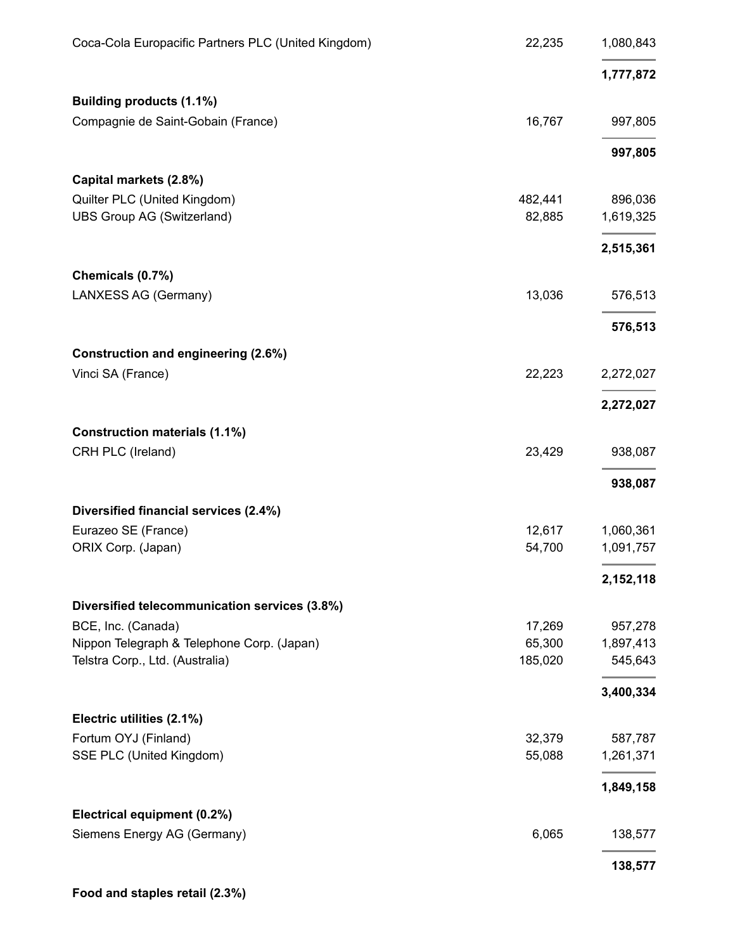| Coca-Cola Europacific Partners PLC (United Kingdom) | 22,235  | 1,080,843 |
|-----------------------------------------------------|---------|-----------|
|                                                     |         | 1,777,872 |
| Building products (1.1%)                            |         |           |
| Compagnie de Saint-Gobain (France)                  | 16,767  | 997,805   |
|                                                     |         | 997,805   |
| Capital markets (2.8%)                              |         |           |
| Quilter PLC (United Kingdom)                        | 482,441 | 896,036   |
| <b>UBS Group AG (Switzerland)</b>                   | 82,885  | 1,619,325 |
|                                                     |         | 2,515,361 |
| Chemicals (0.7%)                                    |         |           |
| LANXESS AG (Germany)                                | 13,036  | 576,513   |
|                                                     |         | 576,513   |
| Construction and engineering (2.6%)                 |         |           |
| Vinci SA (France)                                   | 22,223  | 2,272,027 |
|                                                     |         | 2,272,027 |
| <b>Construction materials (1.1%)</b>                |         |           |
| CRH PLC (Ireland)                                   | 23,429  | 938,087   |
|                                                     |         | 938,087   |
| Diversified financial services (2.4%)               |         |           |
| Eurazeo SE (France)                                 | 12,617  | 1,060,361 |
| ORIX Corp. (Japan)                                  | 54,700  | 1,091,757 |
|                                                     |         | 2,152,118 |
| Diversified telecommunication services (3.8%)       |         |           |
| BCE, Inc. (Canada)                                  | 17,269  | 957,278   |
| Nippon Telegraph & Telephone Corp. (Japan)          | 65,300  | 1,897,413 |
| Telstra Corp., Ltd. (Australia)                     | 185,020 | 545,643   |
|                                                     |         | 3,400,334 |
| Electric utilities (2.1%)                           |         |           |
| Fortum OYJ (Finland)                                | 32,379  | 587,787   |
| SSE PLC (United Kingdom)                            | 55,088  | 1,261,371 |
|                                                     |         | 1,849,158 |
| Electrical equipment (0.2%)                         |         |           |
| Siemens Energy AG (Germany)                         | 6,065   | 138,577   |
|                                                     |         | 138,577   |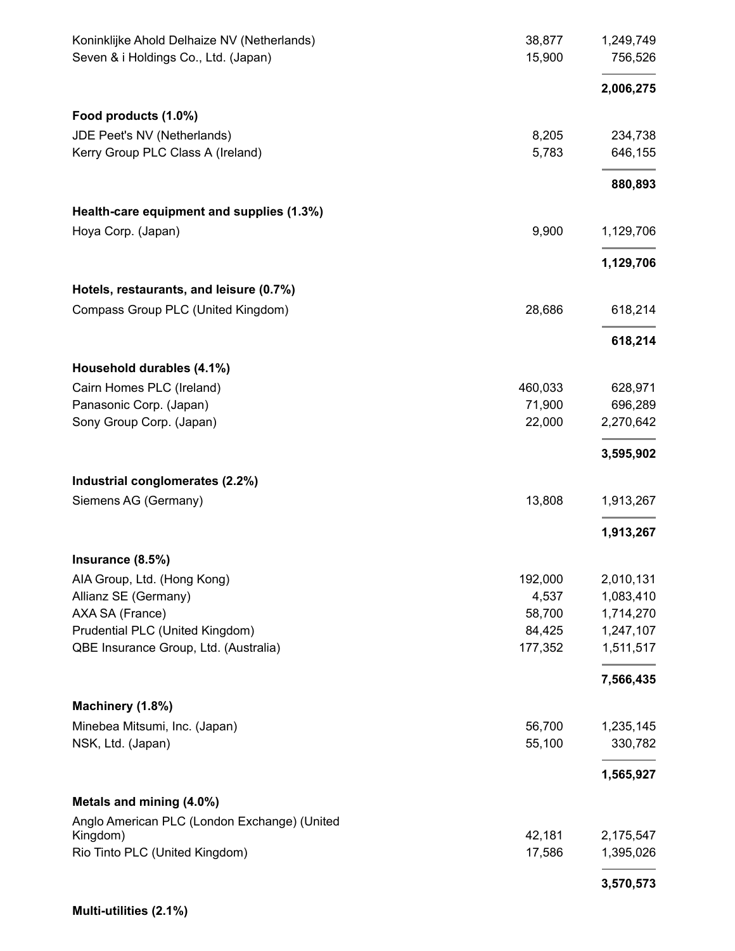| Koninklijke Ahold Delhaize NV (Netherlands)<br>Seven & i Holdings Co., Ltd. (Japan) | 38,877<br>15,900 | 1,249,749<br>756,526 |
|-------------------------------------------------------------------------------------|------------------|----------------------|
|                                                                                     |                  | 2,006,275            |
| Food products (1.0%)                                                                |                  |                      |
| JDE Peet's NV (Netherlands)                                                         | 8,205            | 234,738              |
| Kerry Group PLC Class A (Ireland)                                                   | 5,783            | 646,155              |
|                                                                                     |                  | 880,893              |
| Health-care equipment and supplies (1.3%)                                           |                  |                      |
| Hoya Corp. (Japan)                                                                  | 9,900            | 1,129,706            |
|                                                                                     |                  | 1,129,706            |
| Hotels, restaurants, and leisure (0.7%)                                             |                  |                      |
| Compass Group PLC (United Kingdom)                                                  | 28,686           | 618,214              |
|                                                                                     |                  | 618,214              |
| Household durables (4.1%)                                                           |                  |                      |
| Cairn Homes PLC (Ireland)                                                           | 460,033          | 628,971              |
| Panasonic Corp. (Japan)                                                             | 71,900           | 696,289              |
| Sony Group Corp. (Japan)                                                            | 22,000           | 2,270,642            |
|                                                                                     |                  | 3,595,902            |
| Industrial conglomerates (2.2%)                                                     |                  |                      |
| Siemens AG (Germany)                                                                | 13,808           | 1,913,267            |
|                                                                                     |                  | 1,913,267            |
| Insurance (8.5%)                                                                    |                  |                      |
| AIA Group, Ltd. (Hong Kong)                                                         | 192,000          | 2,010,131            |
| Allianz SE (Germany)                                                                | 4,537            | 1,083,410            |
| AXA SA (France)                                                                     | 58,700           | 1,714,270            |
| Prudential PLC (United Kingdom)                                                     | 84,425           | 1,247,107            |
| QBE Insurance Group, Ltd. (Australia)                                               | 177,352          | 1,511,517            |
|                                                                                     |                  | 7,566,435            |
| Machinery (1.8%)                                                                    |                  |                      |
| Minebea Mitsumi, Inc. (Japan)<br>NSK, Ltd. (Japan)                                  | 56,700<br>55,100 | 1,235,145<br>330,782 |
|                                                                                     |                  | 1,565,927            |
| Metals and mining (4.0%)                                                            |                  |                      |
| Anglo American PLC (London Exchange) (United                                        |                  |                      |
| Kingdom)                                                                            | 42,181           | 2,175,547            |
| Rio Tinto PLC (United Kingdom)                                                      | 17,586           | 1,395,026            |
|                                                                                     |                  | 3,570,573            |

**Multi-utilities (2.1%)**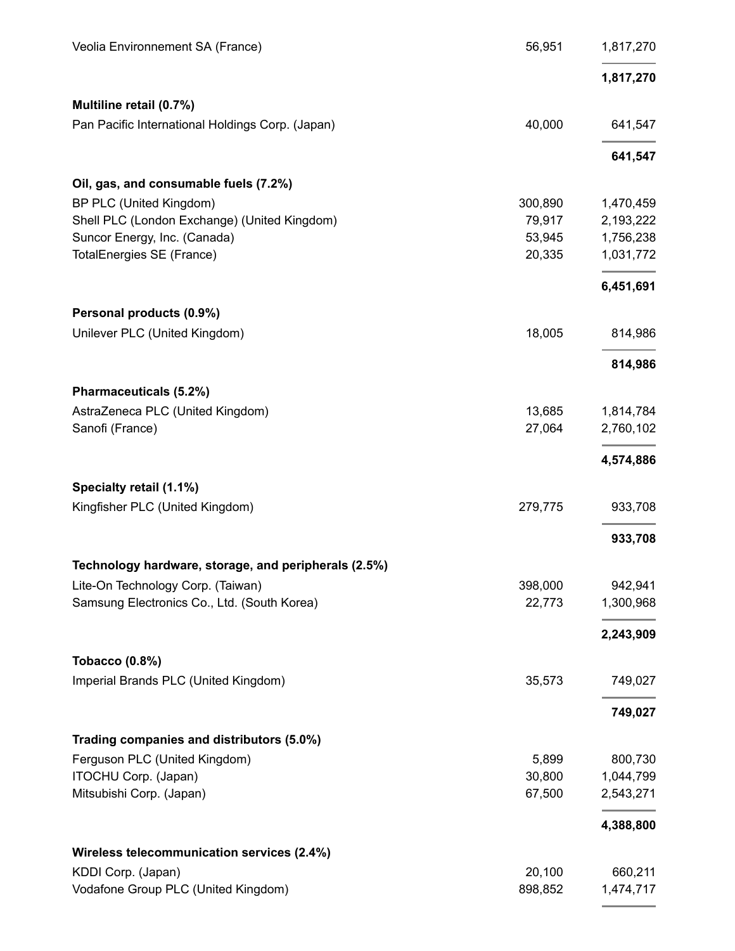| Veolia Environnement SA (France)                     | 56,951  | 1,817,270 |
|------------------------------------------------------|---------|-----------|
|                                                      |         | 1,817,270 |
| Multiline retail (0.7%)                              |         |           |
| Pan Pacific International Holdings Corp. (Japan)     | 40,000  | 641,547   |
|                                                      |         | 641,547   |
| Oil, gas, and consumable fuels (7.2%)                |         |           |
| BP PLC (United Kingdom)                              | 300,890 | 1,470,459 |
| Shell PLC (London Exchange) (United Kingdom)         | 79,917  | 2,193,222 |
| Suncor Energy, Inc. (Canada)                         | 53,945  | 1,756,238 |
| TotalEnergies SE (France)                            | 20,335  | 1,031,772 |
|                                                      |         | 6,451,691 |
| Personal products (0.9%)                             |         |           |
| Unilever PLC (United Kingdom)                        | 18,005  | 814,986   |
|                                                      |         | 814,986   |
| Pharmaceuticals (5.2%)                               |         |           |
| AstraZeneca PLC (United Kingdom)                     | 13,685  | 1,814,784 |
| Sanofi (France)                                      | 27,064  | 2,760,102 |
|                                                      |         | 4,574,886 |
| Specialty retail (1.1%)                              |         |           |
| Kingfisher PLC (United Kingdom)                      | 279,775 | 933,708   |
|                                                      |         | 933,708   |
| Technology hardware, storage, and peripherals (2.5%) |         |           |
| Lite-On Technology Corp. (Taiwan)                    | 398,000 | 942,941   |
| Samsung Electronics Co., Ltd. (South Korea)          | 22,773  | 1,300,968 |
|                                                      |         | 2,243,909 |
| <b>Tobacco (0.8%)</b>                                |         |           |
| Imperial Brands PLC (United Kingdom)                 | 35,573  | 749,027   |
|                                                      |         | 749,027   |
| Trading companies and distributors (5.0%)            |         |           |
| Ferguson PLC (United Kingdom)                        | 5,899   | 800,730   |
| ITOCHU Corp. (Japan)                                 | 30,800  | 1,044,799 |
| Mitsubishi Corp. (Japan)                             | 67,500  | 2,543,271 |
|                                                      |         | 4,388,800 |
| Wireless telecommunication services (2.4%)           |         |           |
| KDDI Corp. (Japan)                                   | 20,100  | 660,211   |
| Vodafone Group PLC (United Kingdom)                  | 898,852 | 1,474,717 |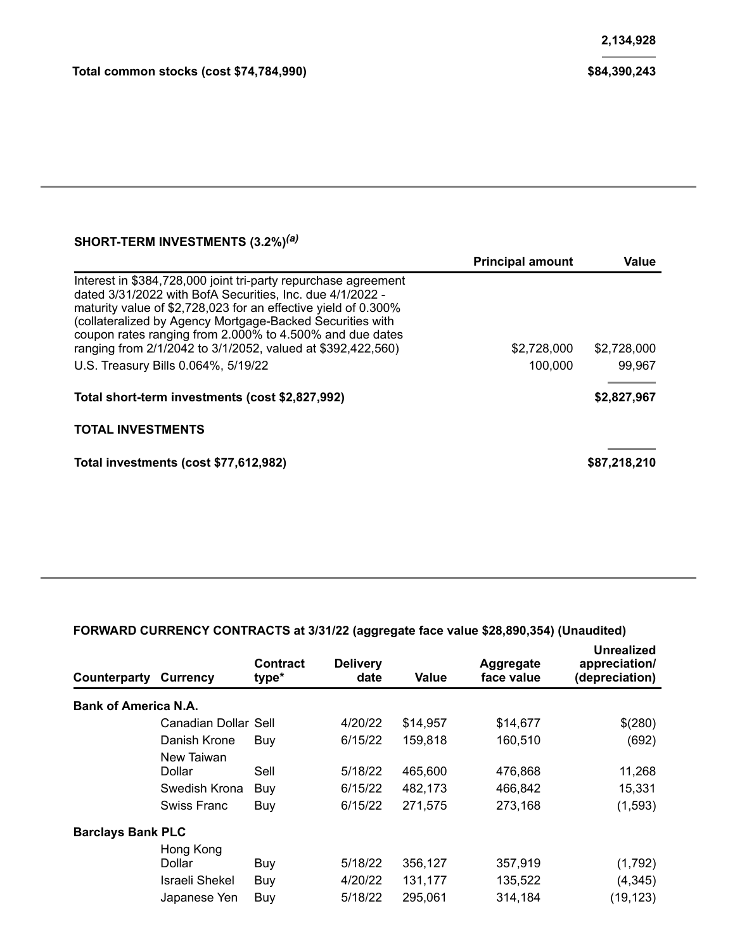### **SHORT-TERM INVESTMENTS (3.2%)** *(a)*

|                                                                                                                                                                                                                                                                                                                                                                                                                              | <b>Principal amount</b> | Value                 |
|------------------------------------------------------------------------------------------------------------------------------------------------------------------------------------------------------------------------------------------------------------------------------------------------------------------------------------------------------------------------------------------------------------------------------|-------------------------|-----------------------|
| Interest in \$384,728,000 joint tri-party repurchase agreement<br>dated 3/31/2022 with BofA Securities, Inc. due 4/1/2022 -<br>maturity value of \$2,728,023 for an effective yield of 0.300%<br>(collateralized by Agency Mortgage-Backed Securities with<br>coupon rates ranging from 2.000% to 4.500% and due dates<br>ranging from 2/1/2042 to 3/1/2052, valued at \$392,422,560)<br>U.S. Treasury Bills 0.064%, 5/19/22 | \$2,728,000<br>100,000  | \$2,728,000<br>99,967 |
| Total short-term investments (cost \$2,827,992)                                                                                                                                                                                                                                                                                                                                                                              |                         | \$2,827,967           |
| <b>TOTAL INVESTMENTS</b>                                                                                                                                                                                                                                                                                                                                                                                                     |                         |                       |
| Total investments (cost \$77,612,982)                                                                                                                                                                                                                                                                                                                                                                                        |                         | \$87,218,210          |

### **FORWARD CURRENCY CONTRACTS at 3/31/22 (aggregate face value \$28,890,354) (Unaudited)**

| Counterparty                | <b>Currency</b>                                              | <b>Contract</b><br>type* | <b>Delivery</b><br>date       | Value                         | Aggregate<br>face value       | Unrealized<br>appreciation/<br>(depreciation) |
|-----------------------------|--------------------------------------------------------------|--------------------------|-------------------------------|-------------------------------|-------------------------------|-----------------------------------------------|
| <b>Bank of America N.A.</b> |                                                              |                          |                               |                               |                               |                                               |
|                             | Canadian Dollar Sell                                         |                          | 4/20/22                       | \$14,957                      | \$14,677                      | \$(280)                                       |
|                             | Danish Krone                                                 | Buy                      | 6/15/22                       | 159,818                       | 160,510                       | (692)                                         |
|                             | New Taiwan<br>Dollar<br>Swedish Krona<br>Swiss Franc         | Sell<br>Buy<br>Buy       | 5/18/22<br>6/15/22<br>6/15/22 | 465,600<br>482,173<br>271,575 | 476,868<br>466,842<br>273,168 | 11,268<br>15,331<br>(1,593)                   |
| <b>Barclays Bank PLC</b>    |                                                              |                          |                               |                               |                               |                                               |
|                             | Hong Kong<br>Dollar<br><b>Israeli Shekel</b><br>Japanese Yen | Buy<br>Buy<br>Buy        | 5/18/22<br>4/20/22<br>5/18/22 | 356,127<br>131,177<br>295,061 | 357,919<br>135,522<br>314,184 | (1,792)<br>(4, 345)<br>(19, 123)              |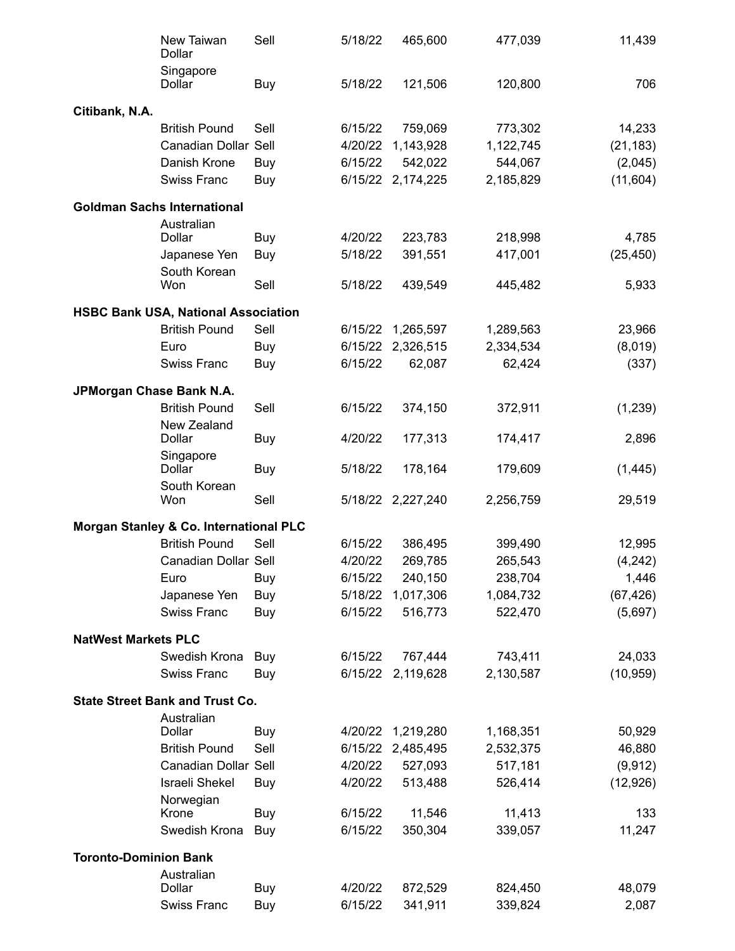|                              | New Taiwan<br>Dollar                       | Sell | 5/18/22 | 465,600           | 477,039   | 11,439    |
|------------------------------|--------------------------------------------|------|---------|-------------------|-----------|-----------|
|                              | Singapore<br>Dollar                        | Buy  | 5/18/22 | 121,506           | 120,800   | 706       |
| Citibank, N.A.               |                                            |      |         |                   |           |           |
|                              | <b>British Pound</b>                       | Sell | 6/15/22 | 759,069           | 773,302   | 14,233    |
|                              | Canadian Dollar Sell                       |      | 4/20/22 | 1,143,928         | 1,122,745 | (21, 183) |
|                              | Danish Krone                               | Buy  | 6/15/22 | 542,022           | 544,067   | (2,045)   |
|                              | <b>Swiss Franc</b>                         | Buy  | 6/15/22 | 2,174,225         | 2,185,829 | (11, 604) |
|                              | <b>Goldman Sachs International</b>         |      |         |                   |           |           |
|                              | Australian                                 |      |         |                   |           |           |
|                              | Dollar                                     | Buy  | 4/20/22 | 223,783           | 218,998   | 4,785     |
|                              | Japanese Yen                               | Buy  | 5/18/22 | 391,551           | 417,001   | (25, 450) |
|                              | South Korean<br>Won                        | Sell | 5/18/22 | 439,549           | 445,482   |           |
|                              |                                            |      |         |                   |           | 5,933     |
|                              | <b>HSBC Bank USA, National Association</b> |      |         |                   |           |           |
|                              | <b>British Pound</b>                       | Sell | 6/15/22 | 1,265,597         | 1,289,563 | 23,966    |
|                              | Euro                                       | Buy  | 6/15/22 | 2,326,515         | 2,334,534 | (8,019)   |
|                              | <b>Swiss Franc</b>                         | Buy  | 6/15/22 | 62,087            | 62,424    | (337)     |
| JPMorgan Chase Bank N.A.     |                                            |      |         |                   |           |           |
|                              | <b>British Pound</b>                       | Sell | 6/15/22 | 374,150           | 372,911   | (1,239)   |
|                              | New Zealand<br>Dollar                      | Buy  | 4/20/22 | 177,313           | 174,417   | 2,896     |
|                              | Singapore<br>Dollar                        | Buy  | 5/18/22 | 178,164           | 179,609   | (1, 445)  |
|                              | South Korean<br>Won                        | Sell |         | 5/18/22 2,227,240 | 2,256,759 | 29,519    |
|                              | Morgan Stanley & Co. International PLC     |      |         |                   |           |           |
|                              | <b>British Pound</b>                       | Sell | 6/15/22 | 386,495           | 399,490   | 12,995    |
|                              | Canadian Dollar Sell                       |      | 4/20/22 | 269,785           | 265,543   | (4, 242)  |
|                              | Euro                                       | Buy  | 6/15/22 | 240,150           | 238,704   | 1,446     |
|                              | Japanese Yen                               | Buy  | 5/18/22 | 1,017,306         | 1,084,732 | (67, 426) |
|                              | <b>Swiss Franc</b>                         | Buy  | 6/15/22 | 516,773           | 522,470   | (5,697)   |
| <b>NatWest Markets PLC</b>   |                                            |      |         |                   |           |           |
|                              | Swedish Krona                              | Buy  | 6/15/22 | 767,444           | 743,411   | 24,033    |
|                              | <b>Swiss Franc</b>                         | Buy  | 6/15/22 | 2,119,628         | 2,130,587 | (10, 959) |
|                              | <b>State Street Bank and Trust Co.</b>     |      |         |                   |           |           |
|                              | Australian                                 |      |         |                   |           |           |
|                              | Dollar                                     | Buy  | 4/20/22 | 1,219,280         | 1,168,351 | 50,929    |
|                              | <b>British Pound</b>                       | Sell | 6/15/22 | 2,485,495         | 2,532,375 | 46,880    |
|                              | Canadian Dollar Sell                       |      | 4/20/22 | 527,093           | 517,181   | (9, 912)  |
|                              | <b>Israeli Shekel</b>                      | Buy  | 4/20/22 | 513,488           | 526,414   | (12, 926) |
|                              | Norwegian<br>Krone                         | Buy  | 6/15/22 | 11,546            | 11,413    | 133       |
|                              | Swedish Krona                              | Buy  | 6/15/22 | 350,304           | 339,057   | 11,247    |
|                              |                                            |      |         |                   |           |           |
| <b>Toronto-Dominion Bank</b> |                                            |      |         |                   |           |           |
|                              | Australian<br>Dollar                       | Buy  | 4/20/22 | 872,529           | 824,450   | 48,079    |
|                              | Swiss Franc                                | Buy  | 6/15/22 | 341,911           | 339,824   | 2,087     |
|                              |                                            |      |         |                   |           |           |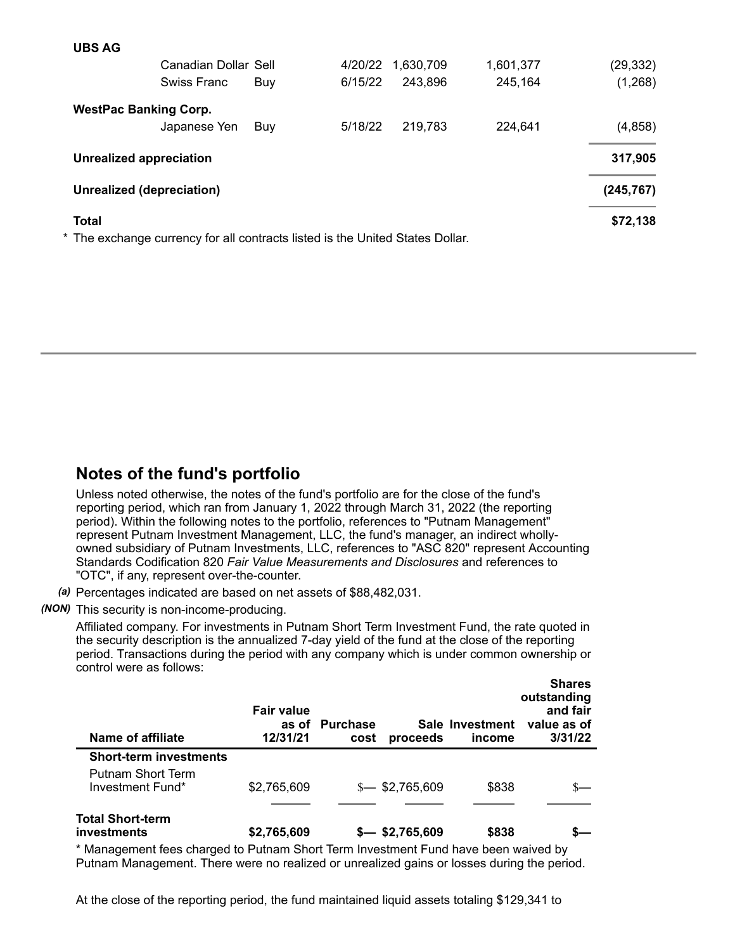| <b>UBS AG</b>                  |                                                                               |     |         |           |           |            |
|--------------------------------|-------------------------------------------------------------------------------|-----|---------|-----------|-----------|------------|
|                                | Canadian Dollar Sell                                                          |     | 4/20/22 | 1,630,709 | 1,601,377 | (29, 332)  |
|                                | Swiss Franc                                                                   | Buy | 6/15/22 | 243,896   | 245,164   | (1,268)    |
| <b>WestPac Banking Corp.</b>   |                                                                               |     |         |           |           |            |
|                                | Japanese Yen                                                                  | Buy | 5/18/22 | 219,783   | 224,641   | (4, 858)   |
| <b>Unrealized appreciation</b> |                                                                               |     |         |           |           | 317,905    |
| Unrealized (depreciation)      |                                                                               |     |         |           |           | (245, 767) |
| <b>Total</b>                   |                                                                               |     |         |           |           | \$72,138   |
|                                | * The exchange currency for all contracts listed is the United States Dollar. |     |         |           |           |            |

## **Notes of the fund's portfolio**

Unless noted otherwise, the notes of the fund's portfolio are for the close of the fund's reporting period, which ran from January 1, 2022 through March 31, 2022 (the reporting period). Within the following notes to the portfolio, references to "Putnam Management" represent Putnam Investment Management, LLC, the fund's manager, an indirect whollyowned subsidiary of Putnam Investments, LLC, references to "ASC 820" represent Accounting Standards Codification 820 *Fair Value Measurements and Disclosures* and references to "OTC", if any, represent over-the-counter.

*(a)* Percentages indicated are based on net assets of \$88,482,031.

### *(NON)* This security is non-income-producing.

Affiliated company. For investments in Putnam Short Term Investment Fund, the rate quoted in the security description is the annualized 7-day yield of the fund at the close of the reporting period. Transactions during the period with any company which is under common ownership or control were as follows:

| Name of affiliate                                                                  | <b>Fair value</b><br>as of<br>12/31/21 | <b>Purchase</b><br>cost | proceeds        | Sale Investment<br>income | <b>Shares</b><br>outstanding<br>and fair<br>value as of<br>3/31/22 |
|------------------------------------------------------------------------------------|----------------------------------------|-------------------------|-----------------|---------------------------|--------------------------------------------------------------------|
| <b>Short-term investments</b>                                                      |                                        |                         |                 |                           |                                                                    |
| Putnam Short Term<br>Investment Fund*                                              | \$2,765,609                            |                         | $$-.52,765,609$ | \$838                     |                                                                    |
| <b>Total Short-term</b><br>investments                                             | \$2,765,609                            |                         | $$-.5,609$      | \$838                     |                                                                    |
| * Managament food charged to Dutnam Chart Term Investment Eund have been waived by |                                        |                         |                 |                           |                                                                    |

Management fees charged to Putnam Short Term Investment Fund have been waived by Putnam Management. There were no realized or unrealized gains or losses during the period.

At the close of the reporting period, the fund maintained liquid assets totaling \$129,341 to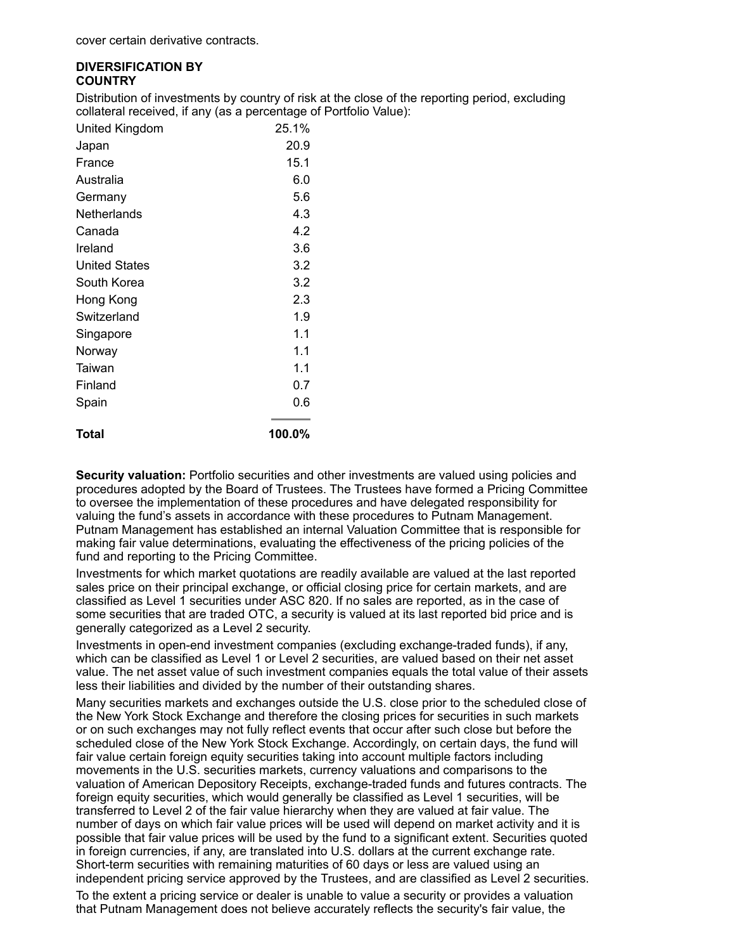#### **DIVERSIFICATION BY COUNTRY**

Distribution of investments by country of risk at the close of the reporting period, excluding collateral received, if any (as a percentage of Portfolio Value):

| United Kingdom       | 25.1%  |
|----------------------|--------|
| Japan                | 20.9   |
| France               | 15.1   |
| Australia            | 6.0    |
| Germany              | 5.6    |
| Netherlands          | 4.3    |
| Canada               | 4.2    |
| Ireland              | 3.6    |
| <b>United States</b> | 3.2    |
| South Korea          | 3.2    |
| Hong Kong            | 2.3    |
| Switzerland          | 1.9    |
| Singapore            | 1.1    |
| Norway               | 1.1    |
| Taiwan               | 1.1    |
| Finland              | 0.7    |
| Spain                | 0.6    |
| Total                | 100.0% |

**Security valuation:** Portfolio securities and other investments are valued using policies and procedures adopted by the Board of Trustees. The Trustees have formed a Pricing Committee to oversee the implementation of these procedures and have delegated responsibility for valuing the fund's assets in accordance with these procedures to Putnam Management. Putnam Management has established an internal Valuation Committee that is responsible for making fair value determinations, evaluating the effectiveness of the pricing policies of the fund and reporting to the Pricing Committee.

Investments for which market quotations are readily available are valued at the last reported sales price on their principal exchange, or official closing price for certain markets, and are classified as Level 1 securities under ASC 820. If no sales are reported, as in the case of some securities that are traded OTC, a security is valued at its last reported bid price and is generally categorized as a Level 2 security.

Investments in open-end investment companies (excluding exchange-traded funds), if any, which can be classified as Level 1 or Level 2 securities, are valued based on their net asset value. The net asset value of such investment companies equals the total value of their assets less their liabilities and divided by the number of their outstanding shares.

Many securities markets and exchanges outside the U.S. close prior to the scheduled close of the New York Stock Exchange and therefore the closing prices for securities in such markets or on such exchanges may not fully reflect events that occur after such close but before the scheduled close of the New York Stock Exchange. Accordingly, on certain days, the fund will fair value certain foreign equity securities taking into account multiple factors including movements in the U.S. securities markets, currency valuations and comparisons to the valuation of American Depository Receipts, exchange-traded funds and futures contracts. The foreign equity securities, which would generally be classified as Level 1 securities, will be transferred to Level 2 of the fair value hierarchy when they are valued at fair value. The number of days on which fair value prices will be used will depend on market activity and it is possible that fair value prices will be used by the fund to a significant extent. Securities quoted in foreign currencies, if any, are translated into U.S. dollars at the current exchange rate. Short-term securities with remaining maturities of 60 days or less are valued using an independent pricing service approved by the Trustees, and are classified as Level 2 securities.

To the extent a pricing service or dealer is unable to value a security or provides a valuation that Putnam Management does not believe accurately reflects the security's fair value, the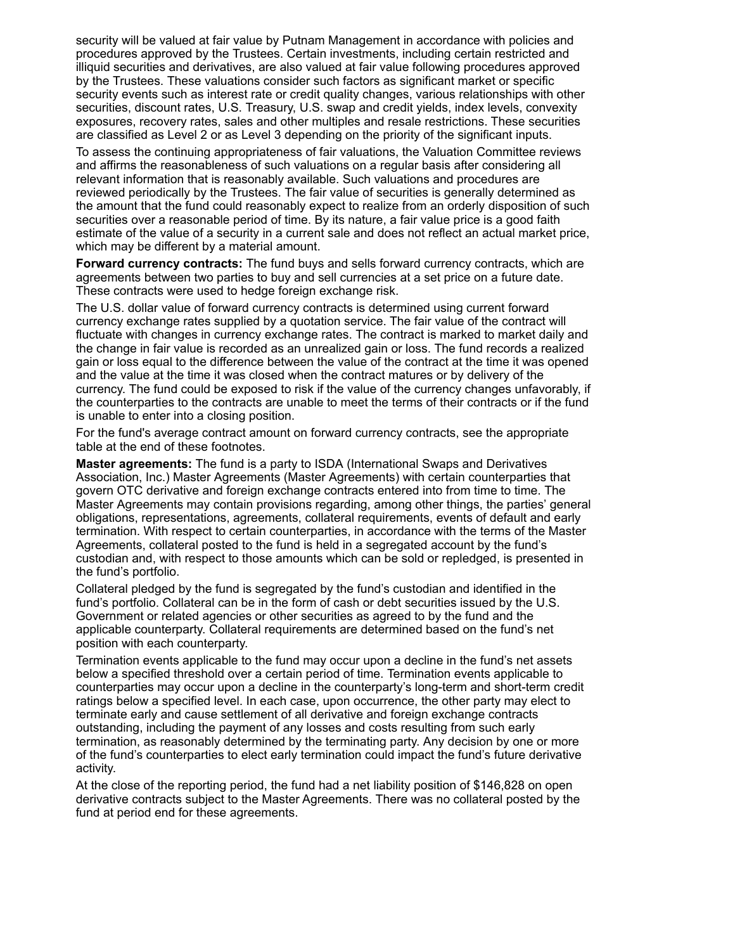security will be valued at fair value by Putnam Management in accordance with policies and procedures approved by the Trustees. Certain investments, including certain restricted and illiquid securities and derivatives, are also valued at fair value following procedures approved by the Trustees. These valuations consider such factors as significant market or specific security events such as interest rate or credit quality changes, various relationships with other securities, discount rates, U.S. Treasury, U.S. swap and credit yields, index levels, convexity exposures, recovery rates, sales and other multiples and resale restrictions. These securities are classified as Level 2 or as Level 3 depending on the priority of the significant inputs.

To assess the continuing appropriateness of fair valuations, the Valuation Committee reviews and affirms the reasonableness of such valuations on a regular basis after considering all relevant information that is reasonably available. Such valuations and procedures are reviewed periodically by the Trustees. The fair value of securities is generally determined as the amount that the fund could reasonably expect to realize from an orderly disposition of such securities over a reasonable period of time. By its nature, a fair value price is a good faith estimate of the value of a security in a current sale and does not reflect an actual market price, which may be different by a material amount.

**Forward currency contracts:** The fund buys and sells forward currency contracts, which are agreements between two parties to buy and sell currencies at a set price on a future date. These contracts were used to hedge foreign exchange risk.

The U.S. dollar value of forward currency contracts is determined using current forward currency exchange rates supplied by a quotation service. The fair value of the contract will fluctuate with changes in currency exchange rates. The contract is marked to market daily and the change in fair value is recorded as an unrealized gain or loss. The fund records a realized gain or loss equal to the difference between the value of the contract at the time it was opened and the value at the time it was closed when the contract matures or by delivery of the currency. The fund could be exposed to risk if the value of the currency changes unfavorably, if the counterparties to the contracts are unable to meet the terms of their contracts or if the fund is unable to enter into a closing position.

For the fund's average contract amount on forward currency contracts, see the appropriate table at the end of these footnotes.

**Master agreements:** The fund is a party to ISDA (International Swaps and Derivatives Association, Inc.) Master Agreements (Master Agreements) with certain counterparties that govern OTC derivative and foreign exchange contracts entered into from time to time. The Master Agreements may contain provisions regarding, among other things, the parties' general obligations, representations, agreements, collateral requirements, events of default and early termination. With respect to certain counterparties, in accordance with the terms of the Master Agreements, collateral posted to the fund is held in a segregated account by the fund's custodian and, with respect to those amounts which can be sold or repledged, is presented in the fund's portfolio.

Collateral pledged by the fund is segregated by the fund's custodian and identified in the fund's portfolio. Collateral can be in the form of cash or debt securities issued by the U.S. Government or related agencies or other securities as agreed to by the fund and the applicable counterparty. Collateral requirements are determined based on the fund's net position with each counterparty.

Termination events applicable to the fund may occur upon a decline in the fund's net assets below a specified threshold over a certain period of time. Termination events applicable to counterparties may occur upon a decline in the counterparty's long-term and short-term credit ratings below a specified level. In each case, upon occurrence, the other party may elect to terminate early and cause settlement of all derivative and foreign exchange contracts outstanding, including the payment of any losses and costs resulting from such early termination, as reasonably determined by the terminating party. Any decision by one or more of the fund's counterparties to elect early termination could impact the fund's future derivative activity.

At the close of the reporting period, the fund had a net liability position of \$146,828 on open derivative contracts subject to the Master Agreements. There was no collateral posted by the fund at period end for these agreements.